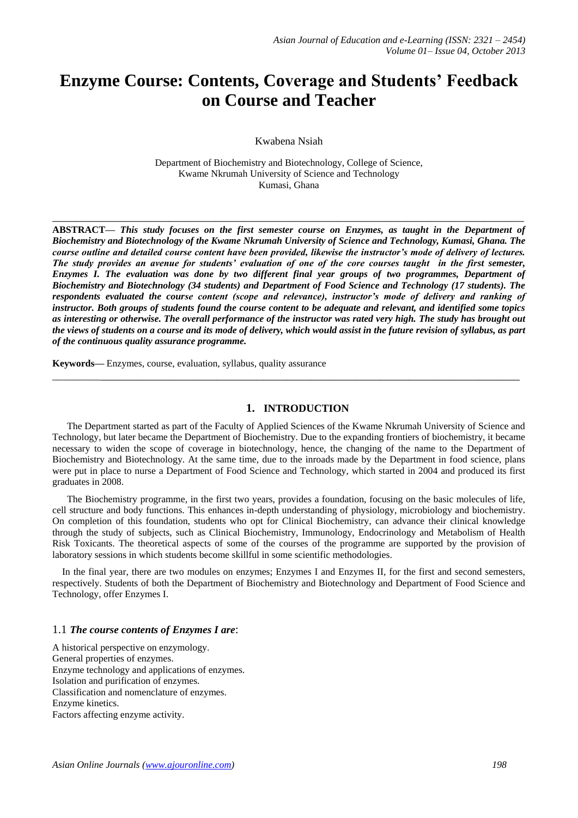# **Enzyme Course: Contents, Coverage and Students' Feedback on Course and Teacher**

Kwabena Nsiah

Department of Biochemistry and Biotechnology, College of Science, Kwame Nkrumah University of Science and Technology Kumasi, Ghana

**\_\_\_\_\_\_\_\_\_\_\_\_\_\_\_\_\_\_\_\_\_\_\_\_\_\_\_\_\_\_\_\_\_\_\_\_\_\_\_\_\_\_\_\_\_\_\_\_\_\_\_\_\_\_\_\_\_\_\_\_\_\_\_\_\_\_\_\_\_\_\_\_\_\_\_\_\_\_\_\_\_**

**ABSTRACT—** *This study focuses on the first semester course on Enzymes, as taught in the Department of Biochemistry and Biotechnology of the Kwame Nkrumah University of Science and Technology, Kumasi, Ghana. The course outline and detailed course content have been provided, likewise the instructor's mode of delivery of lectures. The study provides an avenue for students' evaluation of one of the core courses taught in the first semester, Enzymes I. The evaluation was done by two different final year groups of two programmes, Department of Biochemistry and Biotechnology (34 students) and Department of Food Science and Technology (17 students). The respondents evaluated the course content (scope and relevance), instructor's mode of delivery and ranking of instructor. Both groups of students found the course content to be adequate and relevant, and identified some topics as interesting or otherwise. The overall performance of the instructor was rated very high. The study has brought out the views of students on a course and its mode of delivery, which would assist in the future revision of syllabus, as part of the continuous quality assurance programme.*

**Keywords—** Enzymes, course, evaluation, syllabus, quality assurance

## **1. INTRODUCTION**

**\_\_\_\_\_\_\_\_\_\_\_\_\_\_\_\_\_\_\_\_\_\_\_\_\_\_\_\_\_\_\_\_\_\_\_\_\_\_\_\_\_\_\_\_\_\_\_\_\_\_\_\_\_\_\_\_\_\_\_\_\_\_\_\_\_\_\_\_\_\_\_\_\_\_\_\_\_\_\_\_\_**

The Department started as part of the Faculty of Applied Sciences of the Kwame Nkrumah University of Science and Technology, but later became the Department of Biochemistry. Due to the expanding frontiers of biochemistry, it became necessary to widen the scope of coverage in biotechnology, hence, the changing of the name to the Department of Biochemistry and Biotechnology. At the same time, due to the inroads made by the Department in food science, plans were put in place to nurse a Department of Food Science and Technology, which started in 2004 and produced its first graduates in 2008.

 The Biochemistry programme, in the first two years, provides a foundation, focusing on the basic molecules of life, cell structure and body functions. This enhances in-depth understanding of physiology, microbiology and biochemistry. On completion of this foundation, students who opt for Clinical Biochemistry, can advance their clinical knowledge through the study of subjects, such as Clinical Biochemistry, Immunology, Endocrinology and Metabolism of Health Risk Toxicants. The theoretical aspects of some of the courses of the programme are supported by the provision of laboratory sessions in which students become skillful in some scientific methodologies.

In the final year, there are two modules on enzymes; Enzymes I and Enzymes II, for the first and second semesters, respectively. Students of both the Department of Biochemistry and Biotechnology and Department of Food Science and Technology, offer Enzymes I.

## 1.1 *The course contents of Enzymes I are*:

A historical perspective on enzymology. General properties of enzymes. Enzyme technology and applications of enzymes. Isolation and purification of enzymes. Classification and nomenclature of enzymes. Enzyme kinetics. Factors affecting enzyme activity.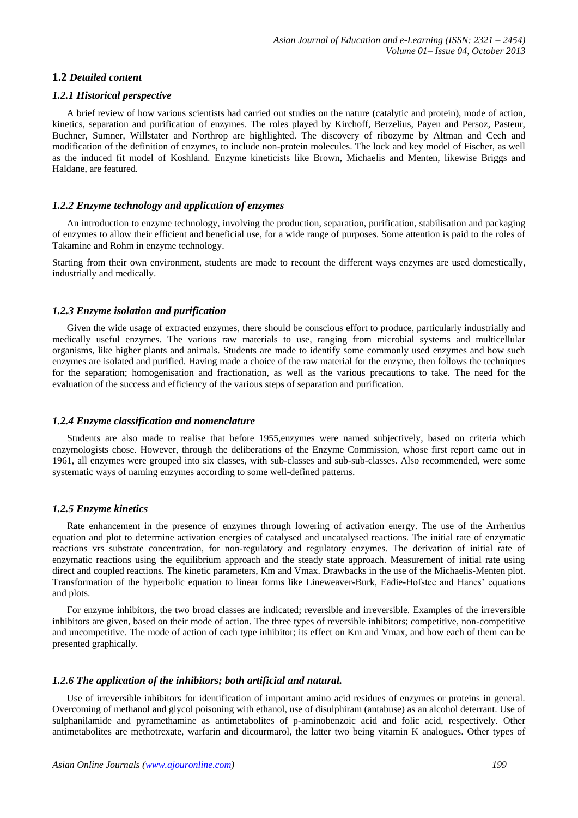# **1.2** *Detailed content*

## *1.2.1 Historical perspective*

 A brief review of how various scientists had carried out studies on the nature (catalytic and protein), mode of action, kinetics, separation and purification of enzymes. The roles played by Kirchoff, Berzelius, Payen and Persoz, Pasteur, Buchner, Sumner, Willstater and Northrop are highlighted. The discovery of ribozyme by Altman and Cech and modification of the definition of enzymes, to include non-protein molecules. The lock and key model of Fischer, as well as the induced fit model of Koshland. Enzyme kineticists like Brown, Michaelis and Menten, likewise Briggs and Haldane, are featured.

# *1.2.2 Enzyme technology and application of enzymes*

 An introduction to enzyme technology, involving the production, separation, purification, stabilisation and packaging of enzymes to allow their efficient and beneficial use, for a wide range of purposes. Some attention is paid to the roles of Takamine and Rohm in enzyme technology.

Starting from their own environment, students are made to recount the different ways enzymes are used domestically, industrially and medically.

# *1.2.3 Enzyme isolation and purification*

 Given the wide usage of extracted enzymes, there should be conscious effort to produce, particularly industrially and medically useful enzymes. The various raw materials to use, ranging from microbial systems and multicellular organisms, like higher plants and animals. Students are made to identify some commonly used enzymes and how such enzymes are isolated and purified. Having made a choice of the raw material for the enzyme, then follows the techniques for the separation; homogenisation and fractionation, as well as the various precautions to take. The need for the evaluation of the success and efficiency of the various steps of separation and purification.

## *1.2.4 Enzyme classification and nomenclature*

 Students are also made to realise that before 1955,enzymes were named subjectively, based on criteria which enzymologists chose. However, through the deliberations of the Enzyme Commission, whose first report came out in 1961, all enzymes were grouped into six classes, with sub-classes and sub-sub-classes. Also recommended, were some systematic ways of naming enzymes according to some well-defined patterns.

# *1.2.5 Enzyme kinetics*

 Rate enhancement in the presence of enzymes through lowering of activation energy. The use of the Arrhenius equation and plot to determine activation energies of catalysed and uncatalysed reactions. The initial rate of enzymatic reactions vrs substrate concentration, for non-regulatory and regulatory enzymes. The derivation of initial rate of enzymatic reactions using the equilibrium approach and the steady state approach. Measurement of initial rate using direct and coupled reactions. The kinetic parameters, Km and Vmax. Drawbacks in the use of the Michaelis-Menten plot. Transformation of the hyperbolic equation to linear forms like Lineweaver-Burk, Eadie-Hofstee and Hanes' equations and plots.

 For enzyme inhibitors, the two broad classes are indicated; reversible and irreversible. Examples of the irreversible inhibitors are given, based on their mode of action. The three types of reversible inhibitors; competitive, non-competitive and uncompetitive. The mode of action of each type inhibitor; its effect on Km and Vmax, and how each of them can be presented graphically.

# *1.2.6 The application of the inhibitors; both artificial and natural.*

 Use of irreversible inhibitors for identification of important amino acid residues of enzymes or proteins in general. Overcoming of methanol and glycol poisoning with ethanol, use of disulphiram (antabuse) as an alcohol deterrant. Use of sulphanilamide and pyramethamine as antimetabolites of p-aminobenzoic acid and folic acid, respectively. Other antimetabolites are methotrexate, warfarin and dicourmarol, the latter two being vitamin K analogues. Other types of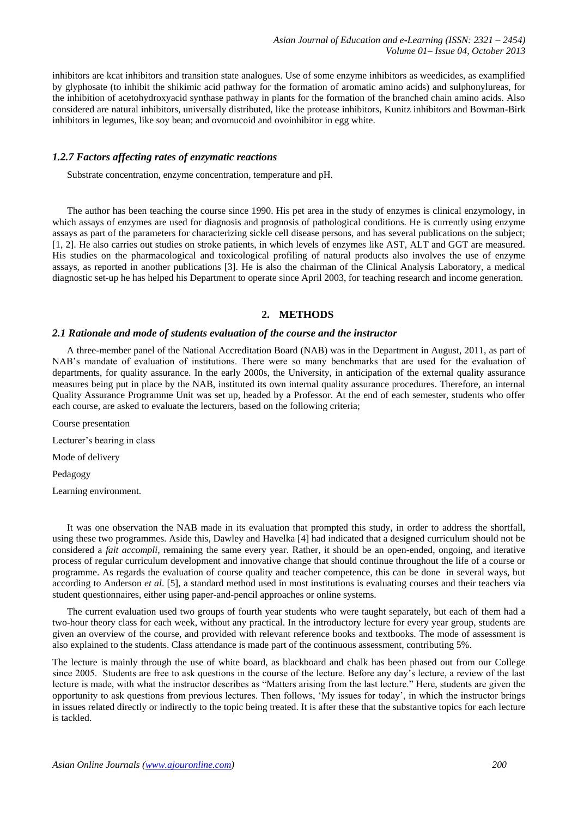inhibitors are kcat inhibitors and transition state analogues. Use of some enzyme inhibitors as weedicides, as examplified by glyphosate (to inhibit the shikimic acid pathway for the formation of aromatic amino acids) and sulphonylureas, for the inhibition of acetohydroxyacid synthase pathway in plants for the formation of the branched chain amino acids. Also considered are natural inhibitors, universally distributed, like the protease inhibitors, Kunitz inhibitors and Bowman-Birk inhibitors in legumes, like soy bean; and ovomucoid and ovoinhibitor in egg white.

#### *1.2.7 Factors affecting rates of enzymatic reactions*

Substrate concentration, enzyme concentration, temperature and pH.

 The author has been teaching the course since 1990. His pet area in the study of enzymes is clinical enzymology, in which assays of enzymes are used for diagnosis and prognosis of pathological conditions. He is currently using enzyme assays as part of the parameters for characterizing sickle cell disease persons, and has several publications on the subject; [1, 2]. He also carries out studies on stroke patients, in which levels of enzymes like AST, ALT and GGT are measured. His studies on the pharmacological and toxicological profiling of natural products also involves the use of enzyme assays, as reported in another publications [3]. He is also the chairman of the Clinical Analysis Laboratory, a medical diagnostic set-up he has helped his Department to operate since April 2003, for teaching research and income generation.

# **2. METHODS**

#### *2.1 Rationale and mode of students evaluation of the course and the instructor*

 A three-member panel of the National Accreditation Board (NAB) was in the Department in August, 2011, as part of NAB's mandate of evaluation of institutions. There were so many benchmarks that are used for the evaluation of departments, for quality assurance. In the early 2000s, the University, in anticipation of the external quality assurance measures being put in place by the NAB, instituted its own internal quality assurance procedures. Therefore, an internal Quality Assurance Programme Unit was set up, headed by a Professor. At the end of each semester, students who offer each course, are asked to evaluate the lecturers, based on the following criteria;

Course presentation

Lecturer's bearing in class

Mode of delivery

Pedagogy

Learning environment.

 It was one observation the NAB made in its evaluation that prompted this study, in order to address the shortfall, using these two programmes. Aside this, Dawley and Havelka [4] had indicated that a designed curriculum should not be considered a *fait accompli,* remaining the same every year. Rather, it should be an open-ended, ongoing, and iterative process of regular curriculum development and innovative change that should continue throughout the life of a course or programme. As regards the evaluation of course quality and teacher competence, this can be done in several ways, but according to Anderson *et al*. [5], a standard method used in most institutions is evaluating courses and their teachers via student questionnaires, either using paper-and-pencil approaches or online systems.

 The current evaluation used two groups of fourth year students who were taught separately, but each of them had a two-hour theory class for each week, without any practical. In the introductory lecture for every year group, students are given an overview of the course, and provided with relevant reference books and textbooks. The mode of assessment is also explained to the students. Class attendance is made part of the continuous assessment, contributing 5%.

The lecture is mainly through the use of white board, as blackboard and chalk has been phased out from our College since 2005. Students are free to ask questions in the course of the lecture. Before any day's lecture, a review of the last lecture is made, with what the instructor describes as "Matters arising from the last lecture." Here, students are given the opportunity to ask questions from previous lectures. Then follows, 'My issues for today', in which the instructor brings in issues related directly or indirectly to the topic being treated. It is after these that the substantive topics for each lecture is tackled.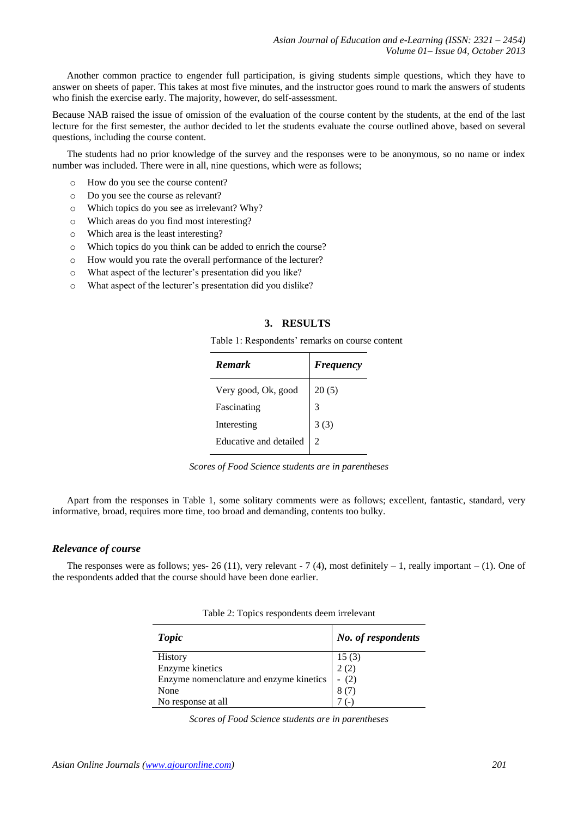Another common practice to engender full participation, is giving students simple questions, which they have to answer on sheets of paper. This takes at most five minutes, and the instructor goes round to mark the answers of students who finish the exercise early. The majority, however, do self-assessment.

Because NAB raised the issue of omission of the evaluation of the course content by the students, at the end of the last lecture for the first semester, the author decided to let the students evaluate the course outlined above, based on several questions, including the course content.

 The students had no prior knowledge of the survey and the responses were to be anonymous, so no name or index number was included. There were in all, nine questions, which were as follows;

- o How do you see the course content?
- o Do you see the course as relevant?
- o Which topics do you see as irrelevant? Why?
- o Which areas do you find most interesting?
- o Which area is the least interesting?
- o Which topics do you think can be added to enrich the course?
- o How would you rate the overall performance of the lecturer?
- o What aspect of the lecturer's presentation did you like?
- o What aspect of the lecturer's presentation did you dislike?

# **3. RESULTS**

Table 1: Respondents' remarks on course content

| <b>Remark</b>          | <b>Frequency</b> |  |  |
|------------------------|------------------|--|--|
| Very good, Ok, good    | 20(5)            |  |  |
| Fascinating            |                  |  |  |
| Interesting            | 3(3)             |  |  |
| Educative and detailed |                  |  |  |

*Scores of Food Science students are in parentheses*

 Apart from the responses in Table 1, some solitary comments were as follows; excellent, fantastic, standard, very informative, broad, requires more time, too broad and demanding, contents too bulky.

#### *Relevance of course*

The responses were as follows; yes- 26 (11), very relevant - 7 (4), most definitely  $-1$ , really important  $- (1)$ . One of the respondents added that the course should have been done earlier.

| <b>Topic</b>                            | No. of respondents |
|-----------------------------------------|--------------------|
| <b>History</b>                          | 15(3)              |
| Enzyme kinetics                         | $2(2)$<br>- $(2)$  |
| Enzyme nomenclature and enzyme kinetics |                    |
| None                                    |                    |
| No response at all                      |                    |

Table 2: Topics respondents deem irrelevant

*Scores of Food Science students are in parentheses*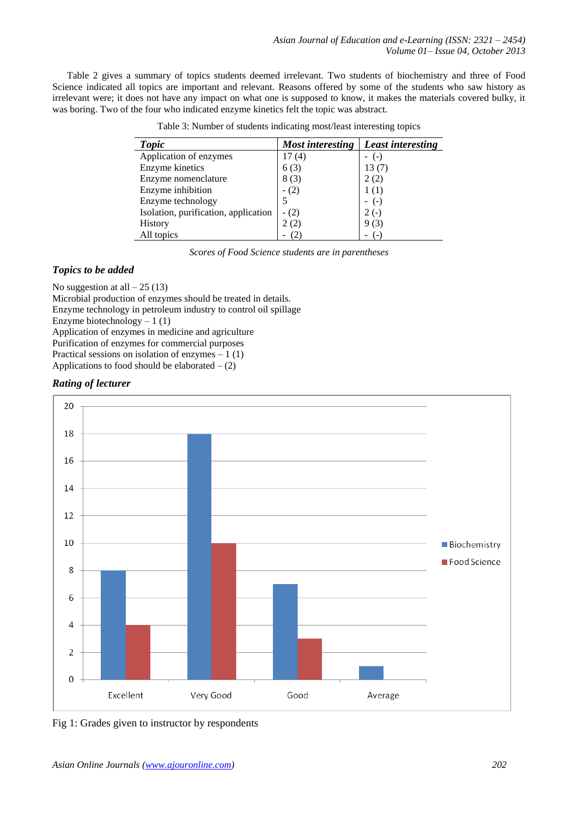Table 2 gives a summary of topics students deemed irrelevant. Two students of biochemistry and three of Food Science indicated all topics are important and relevant. Reasons offered by some of the students who saw history as irrelevant were; it does not have any impact on what one is supposed to know, it makes the materials covered bulky, it was boring. Two of the four who indicated enzyme kinetics felt the topic was abstract.

| Topic                                | <b>Most interesting</b> | <b>Least interesting</b> |
|--------------------------------------|-------------------------|--------------------------|
| Application of enzymes               | 17(4)                   | $(-1)$                   |
| Enzyme kinetics                      | 6(3)                    | 13(7)                    |
| Enzyme nomenclature                  | 8(3)                    | 2(2)                     |
| Enzyme inhibition                    | $- (2)$                 | 1(1)                     |
| Enzyme technology                    |                         | - (-)                    |
| Isolation, purification, application | $- (2)$                 | $2(-)$                   |
| History                              | 2(2)                    | 9(3)                     |
| All topics                           |                         |                          |

|  |  |  | Table 3: Number of students indicating most/least interesting topics |  |
|--|--|--|----------------------------------------------------------------------|--|
|  |  |  |                                                                      |  |

*Scores of Food Science students are in parentheses*

## *Topics to be added*

No suggestion at all  $-25(13)$ Microbial production of enzymes should be treated in details. Enzyme technology in petroleum industry to control oil spillage Enzyme biotechnology  $-1$  (1) Application of enzymes in medicine and agriculture Purification of enzymes for commercial purposes Practical sessions on isolation of enzymes  $-1$  (1) Applications to food should be elaborated  $- (2)$ 

# *Rating of lecturer*



Fig 1: Grades given to instructor by respondents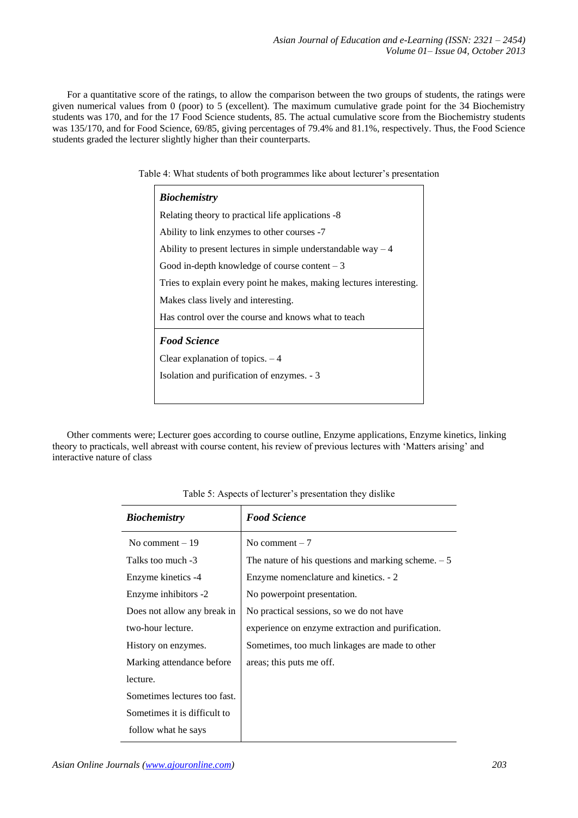For a quantitative score of the ratings, to allow the comparison between the two groups of students, the ratings were given numerical values from 0 (poor) to 5 (excellent). The maximum cumulative grade point for the 34 Biochemistry students was 170, and for the 17 Food Science students, 85. The actual cumulative score from the Biochemistry students was 135/170, and for Food Science, 69/85, giving percentages of 79.4% and 81.1%, respectively. Thus, the Food Science students graded the lecturer slightly higher than their counterparts.

Table 4: What students of both programmes like about lecturer's presentation

| <b>Biochemistry</b>                                                 |  |  |  |  |  |
|---------------------------------------------------------------------|--|--|--|--|--|
| Relating theory to practical life applications -8                   |  |  |  |  |  |
| Ability to link enzymes to other courses -7                         |  |  |  |  |  |
| Ability to present lectures in simple understandable way $-4$       |  |  |  |  |  |
| Good in-depth knowledge of course content $-3$                      |  |  |  |  |  |
| Tries to explain every point he makes, making lectures interesting. |  |  |  |  |  |
| Makes class lively and interesting.                                 |  |  |  |  |  |
| Has control over the course and knows what to teach                 |  |  |  |  |  |
| <b>Food Science</b>                                                 |  |  |  |  |  |
| Clear explanation of topics. $-4$                                   |  |  |  |  |  |
| Isolation and purification of enzymes. - 3                          |  |  |  |  |  |
|                                                                     |  |  |  |  |  |

 Other comments were; Lecturer goes according to course outline, Enzyme applications, Enzyme kinetics, linking theory to practicals, well abreast with course content, his review of previous lectures with 'Matters arising' and interactive nature of class

| <b>Biochemistry</b>          | <b>Food Science</b>                                  |
|------------------------------|------------------------------------------------------|
| No comment $-19$             | No comment $-7$                                      |
| Talks too much -3            | The nature of his questions and marking scheme. $-5$ |
| Enzyme kinetics -4           | Enzyme nomenclature and kinetics. - 2                |
| Enzyme inhibitors -2         | No powerpoint presentation.                          |
| Does not allow any break in  | No practical sessions, so we do not have             |
| two-hour lecture.            | experience on enzyme extraction and purification.    |
| History on enzymes.          | Sometimes, too much linkages are made to other       |
| Marking attendance before    | areas; this puts me off.                             |
| lecture.                     |                                                      |
| Sometimes lectures too fast. |                                                      |
| Sometimes it is difficult to |                                                      |
| follow what he says          |                                                      |

Table 5: Aspects of lecturer's presentation they dislike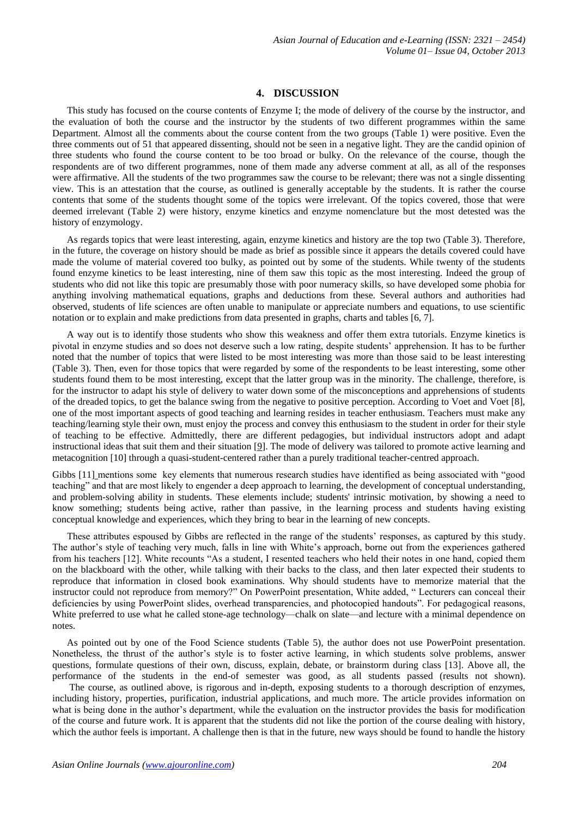## **4. DISCUSSION**

 This study has focused on the course contents of Enzyme I; the mode of delivery of the course by the instructor, and the evaluation of both the course and the instructor by the students of two different programmes within the same Department. Almost all the comments about the course content from the two groups (Table 1) were positive. Even the three comments out of 51 that appeared dissenting, should not be seen in a negative light. They are the candid opinion of three students who found the course content to be too broad or bulky. On the relevance of the course, though the respondents are of two different programmes, none of them made any adverse comment at all, as all of the responses were affirmative. All the students of the two programmes saw the course to be relevant; there was not a single dissenting view. This is an attestation that the course, as outlined is generally acceptable by the students. It is rather the course contents that some of the students thought some of the topics were irrelevant. Of the topics covered, those that were deemed irrelevant (Table 2) were history, enzyme kinetics and enzyme nomenclature but the most detested was the history of enzymology.

 As regards topics that were least interesting, again, enzyme kinetics and history are the top two (Table 3). Therefore, in the future, the coverage on history should be made as brief as possible since it appears the details covered could have made the volume of material covered too bulky, as pointed out by some of the students. While twenty of the students found enzyme kinetics to be least interesting, nine of them saw this topic as the most interesting. Indeed the group of students who did not like this topic are presumably those with poor numeracy skills, so have developed some phobia for anything involving mathematical equations, graphs and deductions from these. Several authors and authorities had observed, students of life sciences are often unable to manipulate or appreciate numbers and equations, to use scientific notation or to explain and make predictions from data presented in graphs, charts and tables [6, 7].

 A way out is to identify those students who show this weakness and offer them extra tutorials. Enzyme kinetics is pivotal in enzyme studies and so does not deserve such a low rating, despite students' apprehension. It has to be further noted that the number of topics that were listed to be most interesting was more than those said to be least interesting (Table 3). Then, even for those topics that were regarded by some of the respondents to be least interesting, some other students found them to be most interesting, except that the latter group was in the minority. The challenge, therefore, is for the instructor to adapt his style of delivery to water down some of the misconceptions and apprehensions of students of the dreaded topics, to get the balance swing from the negative to positive perception. According to Voet and Voet [8], one of the most important aspects of good teaching and learning resides in teacher enthusiasm. Teachers must make any teaching/learning style their own, must enjoy the process and convey this enthusiasm to the student in order for their style of teaching to be effective. Admittedly, there are different pedagogies, but individual instructors adopt and adapt instructional ideas that suit them and their situation [9]. The mode of delivery was tailored to promote active learning and metacognition [10] through a quasi-student-centered rather than a purely traditional teacher-centred approach.

Gibbs [11] mentions some key elements that numerous research studies have identified as being associated with "good teaching" and that are most likely to engender a deep approach to learning, the development of conceptual understanding, and problem-solving ability in students. These elements include; students' intrinsic motivation, by showing a need to know something; students being active, rather than passive, in the learning process and students having existing conceptual knowledge and experiences, which they bring to bear in the learning of new concepts.

 These attributes espoused by Gibbs are reflected in the range of the students' responses, as captured by this study. The author's style of teaching very much, falls in line with White's approach, borne out from the experiences gathered from his teachers [12]. White recounts "As a student, I resented teachers who held their notes in one hand, copied them on the blackboard with the other, while talking with their backs to the class, and then later expected their students to reproduce that information in closed book examinations. Why should students have to memorize material that the instructor could not reproduce from memory?" On PowerPoint presentation, White added, " Lecturers can conceal their deficiencies by using PowerPoint slides, overhead transparencies, and photocopied handouts". For pedagogical reasons, White preferred to use what he called stone-age technology—chalk on slate—and lecture with a minimal dependence on notes.

 As pointed out by one of the Food Science students (Table 5), the author does not use PowerPoint presentation. Nonetheless, the thrust of the author's style is to foster active learning, in which students solve problems, answer questions, formulate questions of their own, discuss, explain, debate, or brainstorm during class [13]. Above all, the performance of the students in the end-of semester was good, as all students passed (results not shown).

 The course, as outlined above, is rigorous and in-depth, exposing students to a thorough description of enzymes, including history, properties, purification, industrial applications, and much more. The article provides information on what is being done in the author's department, while the evaluation on the instructor provides the basis for modification of the course and future work. It is apparent that the students did not like the portion of the course dealing with history, which the author feels is important. A challenge then is that in the future, new ways should be found to handle the history